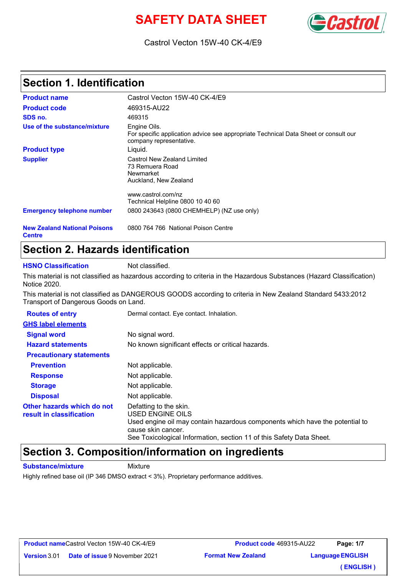# **SAFETY DATA SHEET**



#### Castrol Vecton 15W-40 CK-4/E9

### **Section 1. Identification**

| <b>Product name</b>                                  | Castrol Vecton 15W-40 CK-4/E9                                                                                                  |  |  |  |  |
|------------------------------------------------------|--------------------------------------------------------------------------------------------------------------------------------|--|--|--|--|
| <b>Product code</b>                                  | 469315-AU22                                                                                                                    |  |  |  |  |
| SDS no.                                              | 469315                                                                                                                         |  |  |  |  |
| Use of the substance/mixture                         | Engine Oils.<br>For specific application advice see appropriate Technical Data Sheet or consult our<br>company representative. |  |  |  |  |
| <b>Product type</b>                                  | Liguid.                                                                                                                        |  |  |  |  |
| <b>Supplier</b>                                      | Castrol New Zealand Limited<br>73 Remuera Road<br>Newmarket<br>Auckland, New Zealand                                           |  |  |  |  |
|                                                      | www.castrol.com/nz                                                                                                             |  |  |  |  |
|                                                      | Technical Helpline 0800 10 40 60                                                                                               |  |  |  |  |
| <b>Emergency telephone number</b>                    | 0800 243643 (0800 CHEMHELP) (NZ use only)                                                                                      |  |  |  |  |
| <b>New Zealand National Poisons</b><br><b>Centre</b> | 0800 764 766 National Poison Centre                                                                                            |  |  |  |  |

#### **Section 2. Hazards identification**

**HSNO Classification** Not classified.

This material is not classified as hazardous according to criteria in the Hazardous Substances (Hazard Classification) Notice 2020.

This material is not classified as DANGEROUS GOODS according to criteria in New Zealand Standard 5433:2012 Transport of Dangerous Goods on Land.

| <b>Routes of entry</b>                                 | Dermal contact. Eye contact. Inhalation.                                                                                                                                                                                 |  |  |  |
|--------------------------------------------------------|--------------------------------------------------------------------------------------------------------------------------------------------------------------------------------------------------------------------------|--|--|--|
| <b>GHS label elements</b>                              |                                                                                                                                                                                                                          |  |  |  |
| <b>Signal word</b>                                     | No signal word.                                                                                                                                                                                                          |  |  |  |
| <b>Hazard statements</b>                               | No known significant effects or critical hazards.                                                                                                                                                                        |  |  |  |
| <b>Precautionary statements</b>                        |                                                                                                                                                                                                                          |  |  |  |
| <b>Prevention</b>                                      | Not applicable.                                                                                                                                                                                                          |  |  |  |
| <b>Response</b>                                        | Not applicable.                                                                                                                                                                                                          |  |  |  |
| <b>Storage</b>                                         | Not applicable.                                                                                                                                                                                                          |  |  |  |
| <b>Disposal</b>                                        | Not applicable.                                                                                                                                                                                                          |  |  |  |
| Other hazards which do not<br>result in classification | Defatting to the skin.<br>USED ENGINE OILS<br>Used engine oil may contain hazardous components which have the potential to<br>cause skin cancer.<br>See Toxicological Information, section 11 of this Safety Data Sheet. |  |  |  |

#### **Section 3. Composition/information on ingredients**

**Substance/mixture** Mixture

Highly refined base oil (IP 346 DMSO extract < 3%). Proprietary performance additives.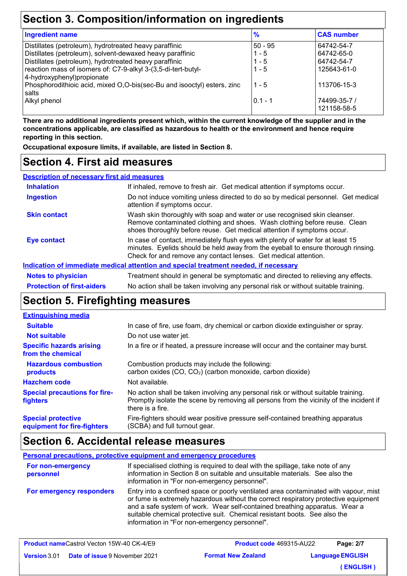### **Section 3. Composition/information on ingredients**

| <b>Ingredient name</b>                                                                       | $\frac{9}{6}$ | <b>CAS number</b>           |
|----------------------------------------------------------------------------------------------|---------------|-----------------------------|
| Distillates (petroleum), hydrotreated heavy paraffinic                                       | $50 - 95$     | 64742-54-7                  |
| Distillates (petroleum), solvent-dewaxed heavy paraffinic                                    | $1 - 5$       | 64742-65-0                  |
| Distillates (petroleum), hydrotreated heavy paraffinic                                       | $1 - 5$       | 64742-54-7                  |
| reaction mass of isomers of: C7-9-alkyl 3-(3,5-di-tert-butyl-<br>4-hydroxyphenyl) propionate | $1 - 5$       | 125643-61-0                 |
| Phosphorodithioic acid, mixed O,O-bis(sec-Bu and isooctyl) esters, zinc<br>salts             | $1 - 5$       | 113706-15-3                 |
| Alkyl phenol                                                                                 | $0.1 - 1$     | 74499-35-7 /<br>121158-58-5 |

**There are no additional ingredients present which, within the current knowledge of the supplier and in the concentrations applicable, are classified as hazardous to health or the environment and hence require reporting in this section.**

**Occupational exposure limits, if available, are listed in Section 8.**

#### **Section 4. First aid measures**

| <b>Description of necessary first aid measures</b> |                                                                                                                                                                                                                                         |  |  |  |
|----------------------------------------------------|-----------------------------------------------------------------------------------------------------------------------------------------------------------------------------------------------------------------------------------------|--|--|--|
| <b>Inhalation</b>                                  | If inhaled, remove to fresh air. Get medical attention if symptoms occur.                                                                                                                                                               |  |  |  |
| <b>Ingestion</b>                                   | Do not induce vomiting unless directed to do so by medical personnel. Get medical<br>attention if symptoms occur.                                                                                                                       |  |  |  |
| <b>Skin contact</b>                                | Wash skin thoroughly with soap and water or use recognised skin cleanser.<br>Remove contaminated clothing and shoes. Wash clothing before reuse. Clean<br>shoes thoroughly before reuse. Get medical attention if symptoms occur.       |  |  |  |
| Eye contact                                        | In case of contact, immediately flush eyes with plenty of water for at least 15<br>minutes. Eyelids should be held away from the eyeball to ensure thorough rinsing.<br>Check for and remove any contact lenses. Get medical attention. |  |  |  |
|                                                    | Indication of immediate medical attention and special treatment needed, if necessary                                                                                                                                                    |  |  |  |
| <b>Notes to physician</b>                          | Treatment should in general be symptomatic and directed to relieving any effects.                                                                                                                                                       |  |  |  |
| <b>Protection of first-aiders</b>                  | No action shall be taken involving any personal risk or without suitable training.                                                                                                                                                      |  |  |  |

### **Section 5. Firefighting measures**

#### No action shall be taken involving any personal risk or without suitable training. Promptly isolate the scene by removing all persons from the vicinity of the incident if there is a fire. **Hazardous combustion products Specific hazards arising from the chemical** Combustion products may include the following: carbon oxides  $(CO, CO<sub>2</sub>)$  (carbon monoxide, carbon dioxide) In a fire or if heated, a pressure increase will occur and the container may burst. Fire-fighters should wear positive pressure self-contained breathing apparatus (SCBA) and full turnout gear. **Special protective equipment for fire-fighters** In case of fire, use foam, dry chemical or carbon dioxide extinguisher or spray. **Extinguishing media** Do not use water jet. **Suitable Not suitable Special precautions for firefighters Hazchem code** Not available.

#### **Section 6. Accidental release measures**

**Personal precautions, protective equipment and emergency procedures** If specialised clothing is required to deal with the spillage, take note of any information in Section 8 on suitable and unsuitable materials. See also the information in "For non-emergency personnel". **For non-emergency personnel For emergency responders** Entry into a confined space or poorly ventilated area contaminated with vapour, mist or fume is extremely hazardous without the correct respiratory protective equipment and a safe system of work. Wear self-contained breathing apparatus. Wear a suitable chemical protective suit. Chemical resistant boots. See also the information in "For non-emergency personnel".

|                     | <b>Product nameCastrol Vecton 15W-40 CK-4/E9</b> | <b>Product code 469315-AU22</b> | Page: 2/7               |
|---------------------|--------------------------------------------------|---------------------------------|-------------------------|
| <b>Version</b> 3.01 | <b>Date of issue 9 November 2021</b>             | <b>Format New Zealand</b>       | <b>Language ENGLISH</b> |
|                     |                                                  |                                 | (ENGLISH)               |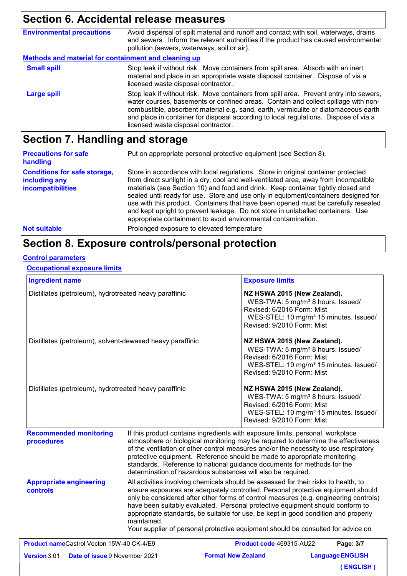### **Section 6. Accidental release measures**

| <b>Environmental precautions</b>                            | Avoid dispersal of spilt material and runoff and contact with soil, waterways, drains<br>and sewers. Inform the relevant authorities if the product has caused environmental<br>pollution (sewers, waterways, soil or air).                                                                                                                                                                        |  |  |  |
|-------------------------------------------------------------|----------------------------------------------------------------------------------------------------------------------------------------------------------------------------------------------------------------------------------------------------------------------------------------------------------------------------------------------------------------------------------------------------|--|--|--|
| <b>Methods and material for containment and cleaning up</b> |                                                                                                                                                                                                                                                                                                                                                                                                    |  |  |  |
| <b>Small spill</b>                                          | Stop leak if without risk. Move containers from spill area. Absorb with an inert<br>material and place in an appropriate waste disposal container. Dispose of via a<br>licensed waste disposal contractor.                                                                                                                                                                                         |  |  |  |
| <b>Large spill</b>                                          | Stop leak if without risk. Move containers from spill area. Prevent entry into sewers,<br>water courses, basements or confined areas. Contain and collect spillage with non-<br>combustible, absorbent material e.g. sand, earth, vermiculite or diatomaceous earth<br>and place in container for disposal according to local regulations. Dispose of via a<br>licensed waste disposal contractor. |  |  |  |

# **Section 7. Handling and storage**

| <b>Precautions for safe</b><br>handling                                   | Put on appropriate personal protective equipment (see Section 8).                                                                                                                                                                                                                                                                                                                                                                                                                                                                                                                              |
|---------------------------------------------------------------------------|------------------------------------------------------------------------------------------------------------------------------------------------------------------------------------------------------------------------------------------------------------------------------------------------------------------------------------------------------------------------------------------------------------------------------------------------------------------------------------------------------------------------------------------------------------------------------------------------|
| <b>Conditions for safe storage,</b><br>including any<br>incompatibilities | Store in accordance with local regulations. Store in original container protected<br>from direct sunlight in a dry, cool and well-ventilated area, away from incompatible<br>materials (see Section 10) and food and drink. Keep container tightly closed and<br>sealed until ready for use. Store and use only in equipment/containers designed for<br>use with this product. Containers that have been opened must be carefully resealed<br>and kept upright to prevent leakage. Do not store in unlabelled containers. Use<br>appropriate containment to avoid environmental contamination. |
| <b>Not suitable</b>                                                       | Prolonged exposure to elevated temperature                                                                                                                                                                                                                                                                                                                                                                                                                                                                                                                                                     |

### **Section 8. Exposure controls/personal protection**

#### **Control parameters**

#### **Occupational exposure limits**

| <b>Ingredient name</b>                                    |                                                                                                                                                                                                                                                                                                                                                                                                                                                                                                                                           | <b>Exposure limits</b>                                                                                                                                                                                                                                                                                                                                                                                              |  |  |
|-----------------------------------------------------------|-------------------------------------------------------------------------------------------------------------------------------------------------------------------------------------------------------------------------------------------------------------------------------------------------------------------------------------------------------------------------------------------------------------------------------------------------------------------------------------------------------------------------------------------|---------------------------------------------------------------------------------------------------------------------------------------------------------------------------------------------------------------------------------------------------------------------------------------------------------------------------------------------------------------------------------------------------------------------|--|--|
| Distillates (petroleum), hydrotreated heavy paraffinic    |                                                                                                                                                                                                                                                                                                                                                                                                                                                                                                                                           | NZ HSWA 2015 (New Zealand).<br>WES-TWA: 5 mg/m <sup>3</sup> 8 hours. Issued/<br>Revised: 6/2016 Form: Mist<br>WES-STEL: 10 mg/m <sup>3</sup> 15 minutes. Issued/<br>Revised: 9/2010 Form: Mist                                                                                                                                                                                                                      |  |  |
| Distillates (petroleum), solvent-dewaxed heavy paraffinic |                                                                                                                                                                                                                                                                                                                                                                                                                                                                                                                                           | NZ HSWA 2015 (New Zealand).<br>WES-TWA: 5 mg/m <sup>3</sup> 8 hours. Issued/<br>Revised: 6/2016 Form: Mist<br>WES-STEL: 10 mg/m <sup>3</sup> 15 minutes. Issued/<br>Revised: 9/2010 Form: Mist                                                                                                                                                                                                                      |  |  |
| Distillates (petroleum), hydrotreated heavy paraffinic    |                                                                                                                                                                                                                                                                                                                                                                                                                                                                                                                                           | NZ HSWA 2015 (New Zealand).<br>WES-TWA: 5 mg/m <sup>3</sup> 8 hours. Issued/<br>Revised: 6/2016 Form: Mist<br>WES-STEL: 10 mg/m <sup>3</sup> 15 minutes. Issued/<br>Revised: 9/2010 Form: Mist                                                                                                                                                                                                                      |  |  |
| <b>Recommended monitoring</b><br>procedures               | determination of hazardous substances will also be required.                                                                                                                                                                                                                                                                                                                                                                                                                                                                              | If this product contains ingredients with exposure limits, personal, workplace<br>atmosphere or biological monitoring may be required to determine the effectiveness<br>of the ventilation or other control measures and/or the necessity to use respiratory<br>protective equipment. Reference should be made to appropriate monitoring<br>standards. Reference to national guidance documents for methods for the |  |  |
| <b>Appropriate engineering</b><br>controls                | All activities involving chemicals should be assessed for their risks to health, to<br>ensure exposures are adequately controlled. Personal protective equipment should<br>only be considered after other forms of control measures (e.g. engineering controls)<br>have been suitably evaluated. Personal protective equipment should conform to<br>appropriate standards, be suitable for use, be kept in good condition and properly<br>maintained.<br>Your supplier of personal protective equipment should be consulted for advice on |                                                                                                                                                                                                                                                                                                                                                                                                                     |  |  |
| Product nameCastrol Vecton 15W-40 CK-4/E9                 |                                                                                                                                                                                                                                                                                                                                                                                                                                                                                                                                           | Product code 469315-AU22<br>Page: 3/7                                                                                                                                                                                                                                                                                                                                                                               |  |  |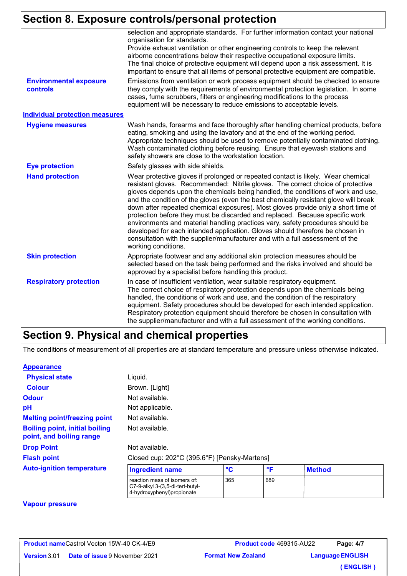# **Section 8. Exposure controls/personal protection**

|                                           | selection and appropriate standards. For further information contact your national<br>organisation for standards.<br>Provide exhaust ventilation or other engineering controls to keep the relevant<br>airborne concentrations below their respective occupational exposure limits.<br>The final choice of protective equipment will depend upon a risk assessment. It is<br>important to ensure that all items of personal protective equipment are compatible.                                                                                                                                                                                                                                                                                                                                |
|-------------------------------------------|-------------------------------------------------------------------------------------------------------------------------------------------------------------------------------------------------------------------------------------------------------------------------------------------------------------------------------------------------------------------------------------------------------------------------------------------------------------------------------------------------------------------------------------------------------------------------------------------------------------------------------------------------------------------------------------------------------------------------------------------------------------------------------------------------|
| <b>Environmental exposure</b><br>controls | Emissions from ventilation or work process equipment should be checked to ensure<br>they comply with the requirements of environmental protection legislation. In some<br>cases, fume scrubbers, filters or engineering modifications to the process<br>equipment will be necessary to reduce emissions to acceptable levels.                                                                                                                                                                                                                                                                                                                                                                                                                                                                   |
| <b>Individual protection measures</b>     |                                                                                                                                                                                                                                                                                                                                                                                                                                                                                                                                                                                                                                                                                                                                                                                                 |
| <b>Hygiene measures</b>                   | Wash hands, forearms and face thoroughly after handling chemical products, before<br>eating, smoking and using the lavatory and at the end of the working period.<br>Appropriate techniques should be used to remove potentially contaminated clothing.<br>Wash contaminated clothing before reusing. Ensure that eyewash stations and<br>safety showers are close to the workstation location.                                                                                                                                                                                                                                                                                                                                                                                                 |
| <b>Eye protection</b>                     | Safety glasses with side shields.                                                                                                                                                                                                                                                                                                                                                                                                                                                                                                                                                                                                                                                                                                                                                               |
| <b>Hand protection</b>                    | Wear protective gloves if prolonged or repeated contact is likely. Wear chemical<br>resistant gloves. Recommended: Nitrile gloves. The correct choice of protective<br>gloves depends upon the chemicals being handled, the conditions of work and use,<br>and the condition of the gloves (even the best chemically resistant glove will break<br>down after repeated chemical exposures). Most gloves provide only a short time of<br>protection before they must be discarded and replaced. Because specific work<br>environments and material handling practices vary, safety procedures should be<br>developed for each intended application. Gloves should therefore be chosen in<br>consultation with the supplier/manufacturer and with a full assessment of the<br>working conditions. |
| <b>Skin protection</b>                    | Appropriate footwear and any additional skin protection measures should be<br>selected based on the task being performed and the risks involved and should be<br>approved by a specialist before handling this product.                                                                                                                                                                                                                                                                                                                                                                                                                                                                                                                                                                         |
| <b>Respiratory protection</b>             | In case of insufficient ventilation, wear suitable respiratory equipment.<br>The correct choice of respiratory protection depends upon the chemicals being<br>handled, the conditions of work and use, and the condition of the respiratory<br>equipment. Safety procedures should be developed for each intended application.<br>Respiratory protection equipment should therefore be chosen in consultation with<br>the supplier/manufacturer and with a full assessment of the working conditions.                                                                                                                                                                                                                                                                                           |

#### **Section 9. Physical and chemical properties**

The conditions of measurement of all properties are at standard temperature and pressure unless otherwise indicated.

#### **Appearance**

| <b>Physical state</b>                                             | Liquid.                                                          |     |     |               |  |
|-------------------------------------------------------------------|------------------------------------------------------------------|-----|-----|---------------|--|
| <b>Colour</b>                                                     | Brown. [Light]                                                   |     |     |               |  |
| <b>Odour</b>                                                      | Not available.                                                   |     |     |               |  |
| pH                                                                | Not applicable.                                                  |     |     |               |  |
| <b>Melting point/freezing point</b>                               | Not available.                                                   |     |     |               |  |
| <b>Boiling point, initial boiling</b><br>point, and boiling range | Not available.                                                   |     |     |               |  |
| <b>Drop Point</b>                                                 | Not available.                                                   |     |     |               |  |
| <b>Flash point</b>                                                | Closed cup: 202°C (395.6°F) [Pensky-Martens]                     |     |     |               |  |
| <b>Auto-ignition temperature</b>                                  | <b>Ingredient name</b>                                           | °C  | °F  | <b>Method</b> |  |
|                                                                   | reaction mass of isomers of:<br>C7-9-alkyl 3-(3.5-di-tert-butyl- | 365 | 689 |               |  |

4-hydroxyphenyl)propionate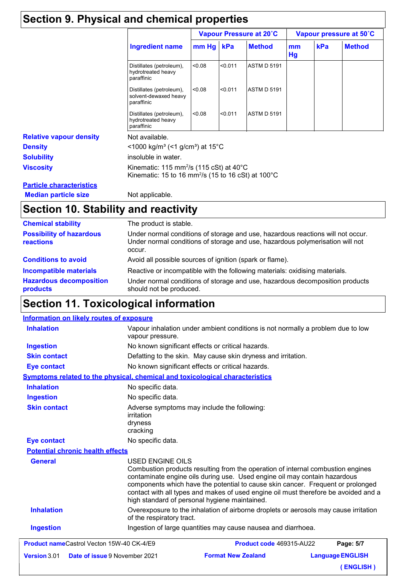### **Section 9. Physical and chemical properties**

|                                 |                                                                                                                                            | Vapour Pressure at 20°C |         |                    | Vapour pressure at 50°C |     |               |
|---------------------------------|--------------------------------------------------------------------------------------------------------------------------------------------|-------------------------|---------|--------------------|-------------------------|-----|---------------|
|                                 | <b>Ingredient name</b>                                                                                                                     | $mm$ Hg                 | kPa     | <b>Method</b>      | mm<br><b>Hg</b>         | kPa | <b>Method</b> |
|                                 | Distillates (petroleum),<br>hydrotreated heavy<br>paraffinic                                                                               | < 0.08                  | < 0.011 | <b>ASTM D 5191</b> |                         |     |               |
|                                 | Distillates (petroleum),<br>solvent-dewaxed heavy<br>paraffinic                                                                            | < 0.08                  | < 0.011 | ASTM D 5191        |                         |     |               |
|                                 | Distillates (petroleum),<br>hydrotreated heavy<br>paraffinic                                                                               | 0.08                    | < 0.011 | <b>ASTM D 5191</b> |                         |     |               |
| <b>Relative vapour density</b>  | Not available.                                                                                                                             |                         |         |                    |                         |     |               |
| <b>Density</b>                  | <1000 kg/m <sup>3</sup> (<1 g/cm <sup>3</sup> ) at 15 <sup>°</sup> C                                                                       |                         |         |                    |                         |     |               |
| <b>Solubility</b>               | insoluble in water.                                                                                                                        |                         |         |                    |                         |     |               |
| <b>Viscosity</b>                | Kinematic: 115 mm <sup>2</sup> /s (115 cSt) at $40^{\circ}$ C<br>Kinematic: 15 to 16 mm <sup>2</sup> /s (15 to 16 cSt) at 100 $^{\circ}$ C |                         |         |                    |                         |     |               |
| <b>Particle characteristics</b> |                                                                                                                                            |                         |         |                    |                         |     |               |
|                                 |                                                                                                                                            |                         |         |                    |                         |     |               |

**Median particle size** Not applicable.

# **Section 10. Stability and reactivity**

| <b>Chemical stability</b>                    | The product is stable.                                                                                                                                                     |
|----------------------------------------------|----------------------------------------------------------------------------------------------------------------------------------------------------------------------------|
| <b>Possibility of hazardous</b><br>reactions | Under normal conditions of storage and use, hazardous reactions will not occur.<br>Under normal conditions of storage and use, hazardous polymerisation will not<br>occur. |
| <b>Conditions to avoid</b>                   | Avoid all possible sources of ignition (spark or flame).                                                                                                                   |
| <b>Incompatible materials</b>                | Reactive or incompatible with the following materials: oxidising materials.                                                                                                |
| <b>Hazardous decomposition</b><br>products   | Under normal conditions of storage and use, hazardous decomposition products<br>should not be produced.                                                                    |

# **Section 11. Toxicological information**

#### **Information on likely routes of exposure**

|                                         | Combustion products resulting from the operation of internal combustion engines                                    |
|-----------------------------------------|--------------------------------------------------------------------------------------------------------------------|
| <b>General</b>                          | <b>Potential chronic health effects</b><br><b>USED ENGINE OILS</b>                                                 |
| <b>Eye contact</b>                      | No specific data.                                                                                                  |
| <b>Skin contact</b>                     | Adverse symptoms may include the following:<br>irritation<br>dryness<br>cracking                                   |
| <b>Ingestion</b>                        | No specific data.                                                                                                  |
| <b>Inhalation</b>                       | No specific data.                                                                                                  |
|                                         | <b>Symptoms related to the physical, chemical and toxicological characteristics</b>                                |
| <b>Eye contact</b>                      | No known significant effects or critical hazards.                                                                  |
| <b>Ingestion</b><br><b>Skin contact</b> | No known significant effects or critical hazards.<br>Defatting to the skin. May cause skin dryness and irritation. |
| <b>Inhalation</b>                       | Vapour inhalation under ambient conditions is not normally a problem due to low<br>vapour pressure.                |

**( ENGLISH )**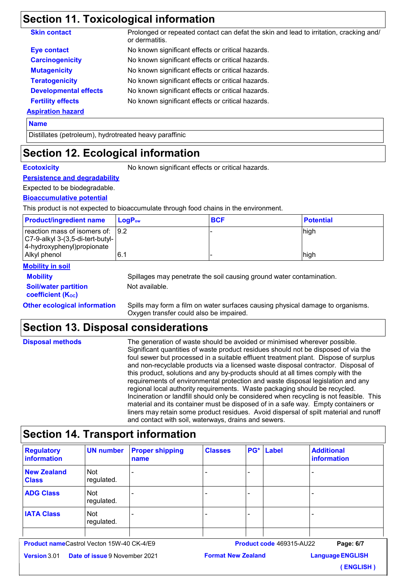### **Section 11. Toxicological information**

| No known significant effects or critical hazards. |
|---------------------------------------------------|
|                                                   |
| No known significant effects or critical hazards. |
| No known significant effects or critical hazards. |
| No known significant effects or critical hazards. |
| No known significant effects or critical hazards. |
| No known significant effects or critical hazards. |
|                                                   |
|                                                   |

#### **Name**

Distillates (petroleum), hydrotreated heavy paraffinic

### **Section 12. Ecological information**

**Ecotoxicity** No known significant effects or critical hazards.

#### **Persistence and degradability**

Expected to be biodegradable.

#### **Bioaccumulative potential**

This product is not expected to bioaccumulate through food chains in the environment.

| <b>Product/ingredient name</b>                                          | $\mathsf{LogP}_\mathsf{ow}$ | <b>BCF</b> | <b>Potential</b> |
|-------------------------------------------------------------------------|-----------------------------|------------|------------------|
| reaction mass of isomers of: 9.2<br>$ C7-9-alky $ 3-(3,5-di-tert-butyl- |                             |            | high             |
| 4-hydroxyphenyl) propionate                                             |                             |            |                  |
| Alkyl phenol                                                            | I 6.1                       |            | high             |

#### **Mobility in soil**

| <b>Mobility</b>             |  |
|-----------------------------|--|
| <b>Soil/water partition</b> |  |
| <b>coefficient (Koc)</b>    |  |

Spillages may penetrate the soil causing ground water contamination. Not available.

**Other ecological information** Spills may form a film on water surfaces causing physical damage to organisms. Oxygen transfer could also be impaired.

### **Section 13. Disposal considerations**

| <b>Disposal methods</b> | The generation of waste should be avoided or minimised wherever possible.               |
|-------------------------|-----------------------------------------------------------------------------------------|
|                         | Significant quantities of waste product residues should not be disposed of via the      |
|                         | foul sewer but processed in a suitable effluent treatment plant. Dispose of surplus     |
|                         | and non-recyclable products via a licensed waste disposal contractor. Disposal of       |
|                         | this product, solutions and any by-products should at all times comply with the         |
|                         | requirements of environmental protection and waste disposal legislation and any         |
|                         | regional local authority requirements. Waste packaging should be recycled.              |
|                         | Incineration or landfill should only be considered when recycling is not feasible. This |
|                         | material and its container must be disposed of in a safe way. Empty containers or       |
|                         | liners may retain some product residues. Avoid dispersal of spilt material and runoff   |
|                         | and contact with soil, waterways, drains and sewers.                                    |

### **Section 14. Transport information**

| <b>Regulatory</b><br>information   | <b>UN number</b>         | <b>Proper shipping</b><br>name | <b>Classes</b> |                          | PG* Label | <b>Additional</b><br>information |
|------------------------------------|--------------------------|--------------------------------|----------------|--------------------------|-----------|----------------------------------|
| <b>New Zealand</b><br><b>Class</b> | <b>Not</b><br>regulated. | $\overline{\phantom{0}}$       |                | $\overline{\phantom{0}}$ |           |                                  |
| <b>ADG Class</b>                   | <b>Not</b><br>regulated. | $\overline{\phantom{0}}$       |                | $\overline{\phantom{0}}$ |           |                                  |
| <b>IATA Class</b>                  | <b>Not</b><br>regulated. | $\overline{\phantom{a}}$       |                | ۰                        |           |                                  |
|                                    |                          |                                |                |                          |           |                                  |

**Product name** Castrol Vecton 15W-40 CK-4/E9

**Product code** 469315-AU22

**Language ENGLISH Page: 6/7**

**Date of issue** 9 November 2021 **Version**

**( ENGLISH )**